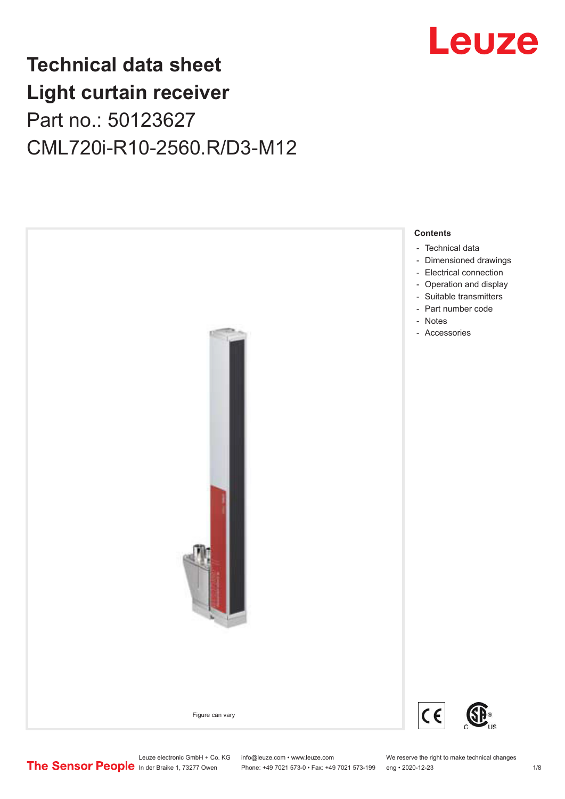

# **Technical data sheet Light curtain receiver** Part no.: 50123627 CML720i-R10-2560.R/D3-M12



Leuze electronic GmbH + Co. KG info@leuze.com • www.leuze.com We reserve the right to make technical changes<br>
The Sensor People in der Braike 1, 73277 Owen Phone: +49 7021 573-0 • Fax: +49 7021 573-199 eng • 2020-12-23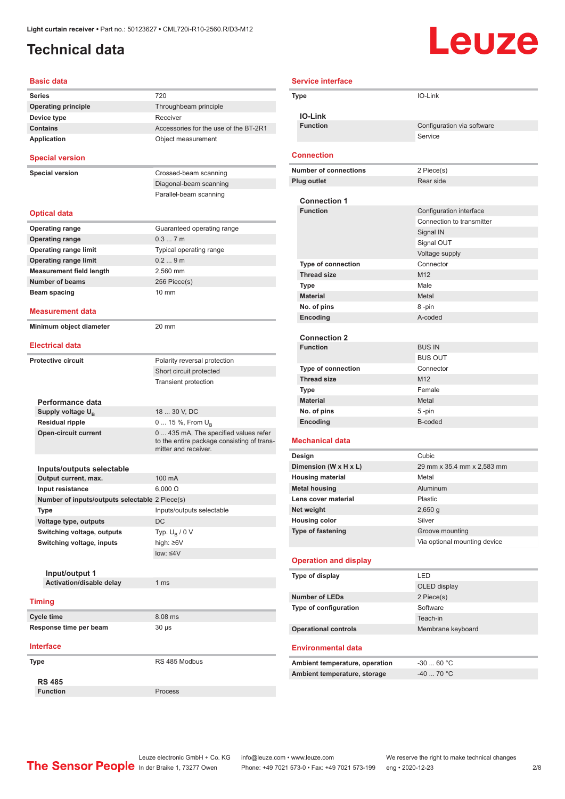### <span id="page-1-0"></span>**Technical data**

# Leuze

| <b>Basic data</b>                                 |                                                                                                             |
|---------------------------------------------------|-------------------------------------------------------------------------------------------------------------|
| <b>Series</b>                                     | 720                                                                                                         |
| <b>Operating principle</b>                        | Throughbeam principle                                                                                       |
| Device type                                       | Receiver                                                                                                    |
| <b>Contains</b>                                   | Accessories for the use of the BT-2R1                                                                       |
| <b>Application</b>                                | Object measurement                                                                                          |
| <b>Special version</b>                            |                                                                                                             |
| <b>Special version</b>                            | Crossed-beam scanning                                                                                       |
|                                                   | Diagonal-beam scanning                                                                                      |
|                                                   | Parallel-beam scanning                                                                                      |
| <b>Optical data</b>                               |                                                                                                             |
| <b>Operating range</b>                            | Guaranteed operating range                                                                                  |
| <b>Operating range</b>                            | 0.37m                                                                                                       |
| <b>Operating range limit</b>                      | Typical operating range                                                                                     |
| <b>Operating range limit</b>                      | 0.29m                                                                                                       |
| <b>Measurement field length</b>                   | 2,560 mm                                                                                                    |
| <b>Number of beams</b>                            | 256 Piece(s)                                                                                                |
| Beam spacing                                      | $10 \text{ mm}$                                                                                             |
|                                                   |                                                                                                             |
| Measurement data                                  |                                                                                                             |
| Minimum object diameter<br><b>Electrical data</b> | 20 mm                                                                                                       |
|                                                   |                                                                                                             |
| <b>Protective circuit</b>                         | Polarity reversal protection                                                                                |
|                                                   | Short circuit protected                                                                                     |
|                                                   | <b>Transient protection</b>                                                                                 |
| Performance data                                  |                                                                                                             |
| Supply voltage UB                                 | 18  30 V, DC                                                                                                |
| <b>Residual ripple</b>                            | 0  15 %, From $U_B$                                                                                         |
| <b>Open-circuit current</b>                       | 0  435 mA, The specified values refer<br>to the entire package consisting of trans-<br>mitter and receiver. |
|                                                   |                                                                                                             |
| Inputs/outputs selectable                         |                                                                                                             |
| Output current, max.                              | 100 mA                                                                                                      |
| Input resistance                                  | $6,000 \Omega$                                                                                              |
| Number of inputs/outputs selectable 2 Piece(s)    |                                                                                                             |
| Type                                              | Inputs/outputs selectable                                                                                   |
| Voltage type, outputs                             | DC                                                                                                          |
| Switching voltage, outputs                        | Typ. $U_{\rm B}$ / 0 V                                                                                      |
| Switching voltage, inputs                         | high: ≥6V<br>$low: \leq 4V$                                                                                 |
|                                                   |                                                                                                             |
| Input/output 1                                    |                                                                                                             |
| Activation/disable delay                          | 1 <sub>ms</sub>                                                                                             |
|                                                   |                                                                                                             |
| <b>Timing</b>                                     |                                                                                                             |
| <b>Cycle time</b>                                 | 8.08 ms                                                                                                     |
| Response time per beam                            | 30 µs                                                                                                       |
| <b>Interface</b>                                  |                                                                                                             |
| Type                                              | RS 485 Modbus                                                                                               |
|                                                   |                                                                                                             |
| <b>RS 485</b>                                     |                                                                                                             |

| <b>Service interface</b> |                                        |                                       |
|--------------------------|----------------------------------------|---------------------------------------|
|                          | Type                                   | IO-Link                               |
|                          |                                        |                                       |
|                          | <b>IO-Link</b><br><b>Function</b>      |                                       |
|                          |                                        | Configuration via software<br>Service |
|                          |                                        |                                       |
|                          | <b>Connection</b>                      |                                       |
|                          | <b>Number of connections</b>           | 2 Piece(s)                            |
|                          | <b>Plug outlet</b>                     | Rear side                             |
|                          |                                        |                                       |
|                          | <b>Connection 1</b>                    |                                       |
|                          | <b>Function</b>                        | Configuration interface               |
|                          |                                        | Connection to transmitter             |
|                          |                                        | Signal IN<br>Signal OUT               |
|                          |                                        | Voltage supply                        |
|                          | <b>Type of connection</b>              | Connector                             |
|                          | <b>Thread size</b>                     | M <sub>12</sub>                       |
|                          | <b>Type</b>                            | Male                                  |
|                          | <b>Material</b>                        | Metal                                 |
|                          | No. of pins                            | 8-pin                                 |
|                          | Encoding                               | A-coded                               |
|                          |                                        |                                       |
|                          | <b>Connection 2</b><br><b>Function</b> | <b>BUS IN</b>                         |
|                          |                                        | <b>BUS OUT</b>                        |
|                          | <b>Type of connection</b>              | Connector                             |
|                          | <b>Thread size</b>                     | M <sub>12</sub>                       |
|                          | Type                                   | Female                                |
|                          | <b>Material</b>                        | Metal                                 |
|                          | No. of pins                            | $5 - pin$                             |
|                          | Encoding                               | B-coded                               |
|                          | <b>Mechanical data</b>                 |                                       |
|                          | Design                                 | Cubic                                 |
|                          | Dimension (W x H x L)                  | 29 mm x 35.4 mm x 2,583 mm            |
|                          | <b>Housing material</b>                | Metal                                 |
|                          | <b>Metal housing</b>                   | Aluminum                              |
|                          | Lens cover material                    | Plastic                               |
|                          | Net weight                             | $2,650$ g                             |
|                          | <b>Housing color</b>                   | Silver                                |
|                          | <b>Type of fastening</b>               | Groove mounting                       |
|                          |                                        | Via optional mounting device          |
|                          | <b>Operation and display</b>           |                                       |
|                          | Type of display                        | LED                                   |
|                          |                                        | OLED display                          |
|                          | <b>Number of LEDs</b>                  | 2 Piece(s)                            |
|                          | Type of configuration                  | Software                              |
|                          |                                        | Teach-in                              |
|                          | <b>Operational controls</b>            | Membrane keyboard                     |
|                          | <b>Environmental data</b>              |                                       |
|                          | Ambient temperature, operation         | $-3060 °C$                            |
|                          | Ambient temperature, storage           | -40  70 °C                            |
|                          |                                        |                                       |
|                          |                                        |                                       |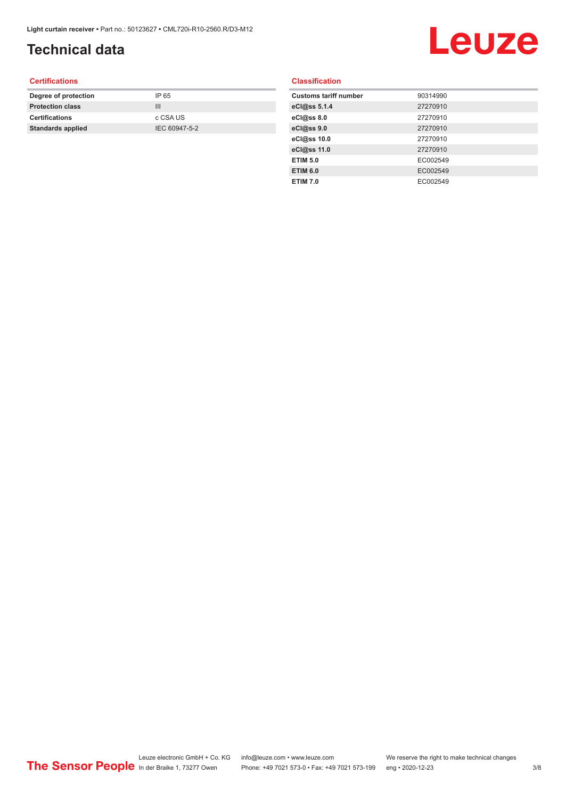## **Technical data**

# Leuze

#### **Certifications**

| Degree of protection     | IP 65         |
|--------------------------|---------------|
| <b>Protection class</b>  | Ш             |
| <b>Certifications</b>    | c CSA US      |
| <b>Standards applied</b> | IEC 60947-5-2 |
|                          |               |

#### **Classification**

| <b>Customs tariff number</b> | 90314990 |
|------------------------------|----------|
| eCl@ss 5.1.4                 | 27270910 |
| eCl@ss 8.0                   | 27270910 |
| eCl@ss 9.0                   | 27270910 |
| eCl@ss 10.0                  | 27270910 |
| eCl@ss 11.0                  | 27270910 |
| <b>ETIM 5.0</b>              | EC002549 |
| <b>ETIM 6.0</b>              | EC002549 |
| <b>ETIM 7.0</b>              | EC002549 |
|                              |          |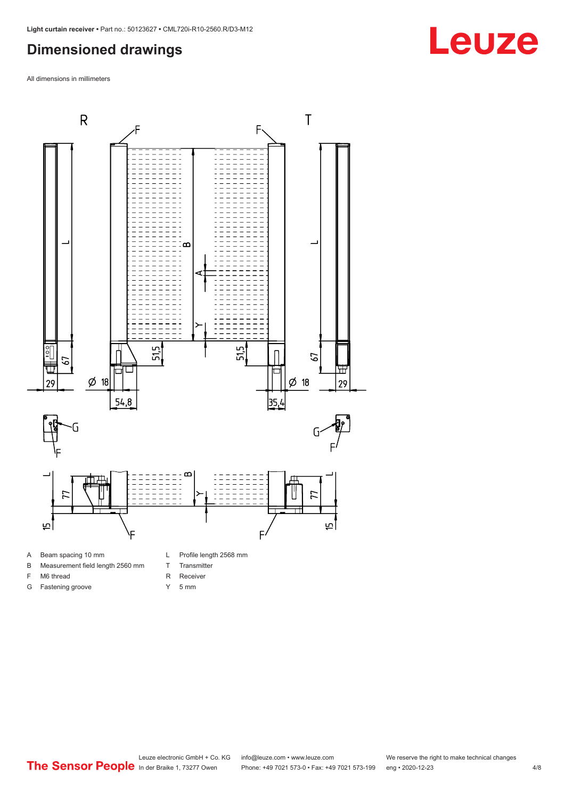#### <span id="page-3-0"></span>**Dimensioned drawings**

All dimensions in millimeters



- 
- B Measurement field length 2560 mm
- F M6 thread
- G Fastening groove
- 
- T Transmitter
- R Receiver
- Y 5 mm



**Leuze**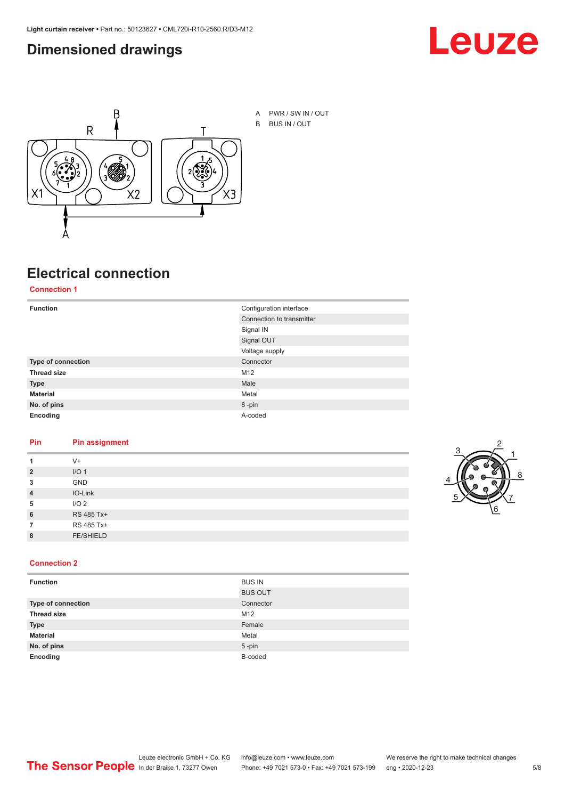#### <span id="page-4-0"></span>**Dimensioned drawings**





A PWR / SW IN / OUT B BUS IN / OUT

## **Electrical connection**

**Connection 1**

| <b>Function</b>    | Configuration interface   |  |
|--------------------|---------------------------|--|
|                    | Connection to transmitter |  |
|                    | Signal IN                 |  |
|                    | Signal OUT                |  |
|                    | Voltage supply            |  |
| Type of connection | Connector                 |  |
| <b>Thread size</b> | M12                       |  |
| <b>Type</b>        | Male                      |  |
| <b>Material</b>    | Metal                     |  |
| No. of pins        | 8-pin                     |  |
| Encoding           | A-coded                   |  |

#### **Pin Pin assignment**

| 1              | $V +$            |  |  |
|----------------|------------------|--|--|
| $\overline{2}$ | I/O <sub>1</sub> |  |  |
| 3              | <b>GND</b>       |  |  |
| $\overline{4}$ | IO-Link          |  |  |
| 5              | I/O <sub>2</sub> |  |  |
| 6              | RS 485 Tx+       |  |  |
| 7              | RS 485 Tx+       |  |  |
| 8              | <b>FE/SHIELD</b> |  |  |
|                |                  |  |  |



#### **Connection 2**

| <b>Function</b>    | <b>BUS IN</b>  |
|--------------------|----------------|
|                    | <b>BUS OUT</b> |
| Type of connection | Connector      |
| <b>Thread size</b> | M12            |
| <b>Type</b>        | Female         |
| <b>Material</b>    | Metal          |
| No. of pins        | $5$ -pin       |
| Encoding           | B-coded        |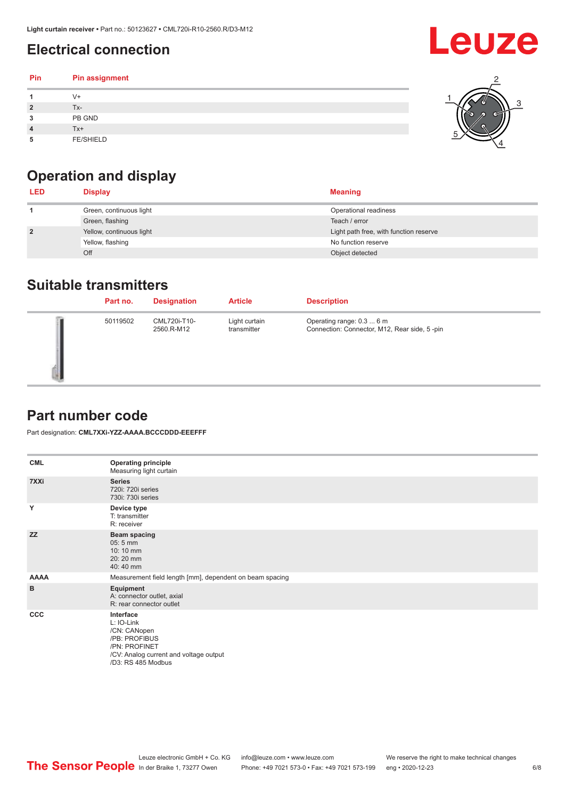### <span id="page-5-0"></span>**Electrical connection**

| Pin | Pin assignment   |  |
|-----|------------------|--|
|     | $V +$            |  |
| ຳ   | Tx-              |  |
| 3   | PB GND           |  |
|     | $Tx+$            |  |
| 5   | <b>FE/SHIELD</b> |  |

### **Operation and display**

| <b>LED</b>     | <b>Display</b>           | <b>Meaning</b>                         |
|----------------|--------------------------|----------------------------------------|
|                | Green, continuous light  | Operational readiness                  |
|                | Green, flashing          | Teach / error                          |
| $\overline{2}$ | Yellow, continuous light | Light path free, with function reserve |
|                | Yellow, flashing         | No function reserve                    |
|                | Off                      | Object detected                        |

#### **Suitable transmitters**

| Part no. | <b>Designation</b>         | <b>Article</b>               | <b>Description</b>                                                        |
|----------|----------------------------|------------------------------|---------------------------------------------------------------------------|
| 50119502 | CML720i-T10-<br>2560.R-M12 | Light curtain<br>transmitter | Operating range: 0.3  6 m<br>Connection: Connector, M12, Rear side, 5-pin |

#### **Part number code**

Part designation: **CML7XXi-YZZ-AAAA.BCCCDDD-EEEFFF**

| <b>CML</b>  | <b>Operating principle</b><br>Measuring light curtain                                                                                     |
|-------------|-------------------------------------------------------------------------------------------------------------------------------------------|
| 7XXi        | <b>Series</b><br>720i: 720i series<br>730i: 730i series                                                                                   |
| Y           | Device type<br>T: transmitter<br>R: receiver                                                                                              |
| <b>ZZ</b>   | <b>Beam spacing</b><br>$05:5$ mm<br>10:10 mm<br>20:20 mm<br>40:40 mm                                                                      |
| <b>AAAA</b> | Measurement field length [mm], dependent on beam spacing                                                                                  |
| B           | Equipment<br>A: connector outlet, axial<br>R: rear connector outlet                                                                       |
| <b>CCC</b>  | Interface<br>L: IO-Link<br>/CN: CANopen<br>/PB: PROFIBUS<br>/PN: PROFINET<br>/CV: Analog current and voltage output<br>/D3: RS 485 Modbus |

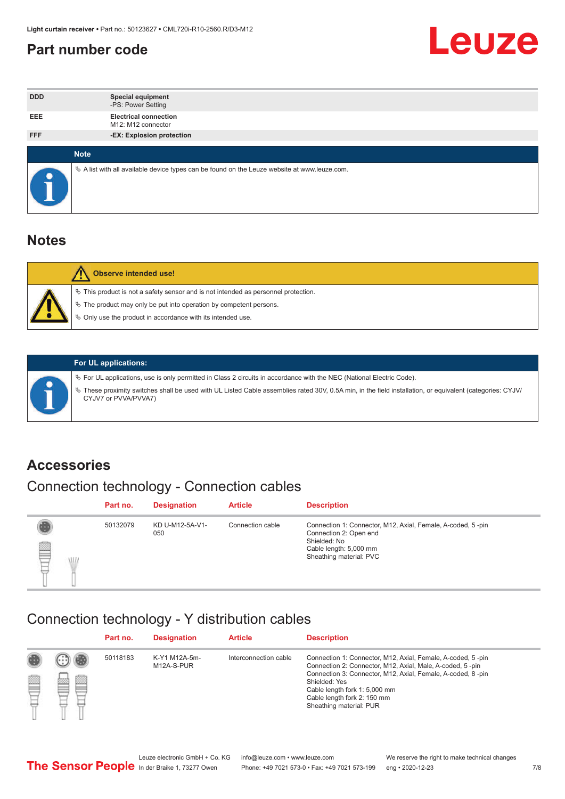#### <span id="page-6-0"></span>**Part number code**



| <b>DDD</b>  | <b>Special equipment</b><br>-PS: Power Setting                                                  |
|-------------|-------------------------------------------------------------------------------------------------|
| <b>EEE</b>  | <b>Electrical connection</b><br>M12: M12 connector                                              |
| <b>FFF</b>  | -EX: Explosion protection                                                                       |
|             |                                                                                                 |
| <b>Note</b> |                                                                                                 |
|             | $\&$ A list with all available device types can be found on the Leuze website at www.leuze.com. |

#### **Notes**

| Observe intended use!                                                                                                                                                                                                            |
|----------------------------------------------------------------------------------------------------------------------------------------------------------------------------------------------------------------------------------|
| $\%$ This product is not a safety sensor and is not intended as personnel protection.<br>$\%$ The product may only be put into operation by competent persons.<br>$\%$ Only use the product in accordance with its intended use. |
|                                                                                                                                                                                                                                  |



#### **For UL applications:**

ª For UL applications, use is only permitted in Class 2 circuits in accordance with the NEC (National Electric Code). ª These proximity switches shall be used with UL Listed Cable assemblies rated 30V, 0.5A min, in the field installation, or equivalent (categories: CYJV/ CYJV7 or PVVA/PVVA7)

#### **Accessories**

### Connection technology - Connection cables

|        | Part no. | <b>Designation</b>     | <b>Article</b>   | <b>Description</b>                                                                                                                                         |
|--------|----------|------------------------|------------------|------------------------------------------------------------------------------------------------------------------------------------------------------------|
| 2<br>W | 50132079 | KD U-M12-5A-V1-<br>050 | Connection cable | Connection 1: Connector, M12, Axial, Female, A-coded, 5-pin<br>Connection 2: Open end<br>Shielded: No<br>Cable length: 5,000 mm<br>Sheathing material: PVC |

#### Connection technology - Y distribution cables

|             |   | Part no. | <b>Designation</b>          | <b>Article</b>        | <b>Description</b>                                                                                                                                                                                                                                                                                  |
|-------------|---|----------|-----------------------------|-----------------------|-----------------------------------------------------------------------------------------------------------------------------------------------------------------------------------------------------------------------------------------------------------------------------------------------------|
| 圔<br>⋿<br>٣ | ø | 50118183 | K-Y1 M12A-5m-<br>M12A-S-PUR | Interconnection cable | Connection 1: Connector, M12, Axial, Female, A-coded, 5-pin<br>Connection 2: Connector, M12, Axial, Male, A-coded, 5-pin<br>Connection 3: Connector, M12, Axial, Female, A-coded, 8-pin<br>Shielded: Yes<br>Cable length fork 1: 5,000 mm<br>Cable length fork 2: 150 mm<br>Sheathing material: PUR |